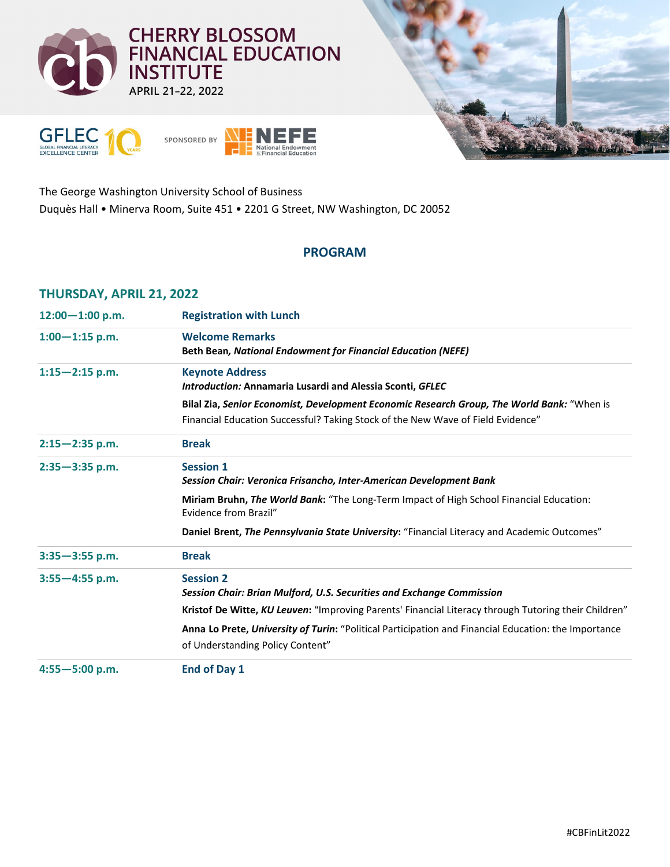





The George Washington University School of Business Duquès Hall • Minerva Room, Suite 451 • 2201 G Street, NW Washington, DC 20052

## **PROGRAM**

## **THURSDAY, APRIL 21, 2022**

| $12:00 - 1:00$ p.m. | <b>Registration with Lunch</b>                                                                                                                                                |
|---------------------|-------------------------------------------------------------------------------------------------------------------------------------------------------------------------------|
| $1:00 - 1:15$ p.m.  | <b>Welcome Remarks</b><br><b>Beth Bean, National Endowment for Financial Education (NEFE)</b>                                                                                 |
| $1:15 - 2:15$ p.m.  | <b>Keynote Address</b><br><b>Introduction: Annamaria Lusardi and Alessia Sconti, GFLEC</b>                                                                                    |
|                     | Bilal Zia, Senior Economist, Development Economic Research Group, The World Bank: "When is<br>Financial Education Successful? Taking Stock of the New Wave of Field Evidence" |
| $2:15 - 2:35$ p.m.  | <b>Break</b>                                                                                                                                                                  |
| $2:35 - 3:35$ p.m.  | <b>Session 1</b><br>Session Chair: Veronica Frisancho, Inter-American Development Bank                                                                                        |
|                     | Miriam Bruhn, The World Bank: "The Long-Term Impact of High School Financial Education:<br>Evidence from Brazil"                                                              |
|                     | Daniel Brent, The Pennsylvania State University: "Financial Literacy and Academic Outcomes"                                                                                   |
| $3:35 - 3:55$ p.m.  | <b>Break</b>                                                                                                                                                                  |
| $3:55 - 4:55$ p.m.  | <b>Session 2</b><br>Session Chair: Brian Mulford, U.S. Securities and Exchange Commission                                                                                     |
|                     | Kristof De Witte, KU Leuven: "Improving Parents' Financial Literacy through Tutoring their Children"                                                                          |
|                     | Anna Lo Prete, University of Turin: "Political Participation and Financial Education: the Importance<br>of Understanding Policy Content"                                      |
| $4:55 - 5:00$ p.m.  | End of Day 1                                                                                                                                                                  |